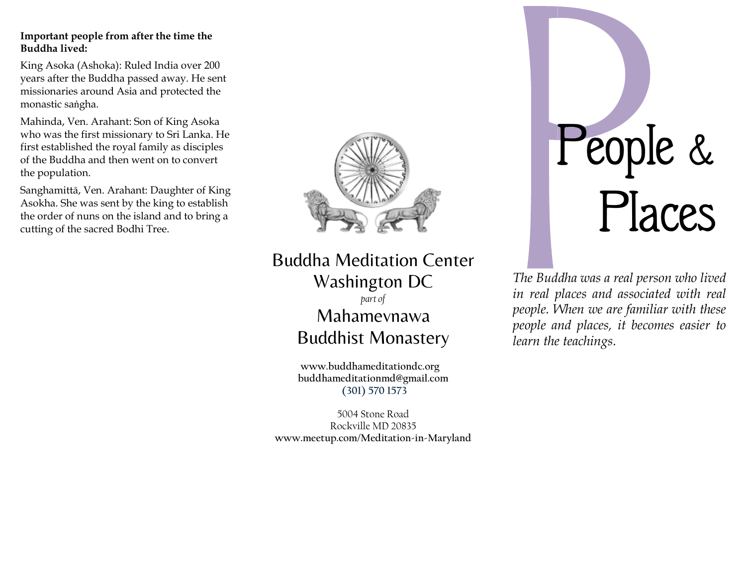## Important people from after the time the Buddha lived:

King Asoka (Ashoka): Ruled India over 200 years after the Buddha passed away. He sent missionaries around Asia and protected the monastic saṅgha.

Mahinda, Ven. Arahant: Son of King Asoka who was the first missionary to Sri Lanka. He first established the royal family as disciples of the Buddha and then went on to convert the population.

Sanghamittā, Ven. Arahant: Daughter of King Asokha. She was sent by the king to establish the order of nuns on the island and to bring a cutting of the sacred Bodhi Tree.



## Buddha Meditation Center Buddha Meditation Washington DC part of Mahamevnawa Buddhist Monastery

www.buddhameditationdc.org buddhameditationmd@gmail.com (301) 570 1573

www.meetup.com/Meditation www.meetup.com/Meditation-in-Maryland 5004 Stone Road Rockville MD 20835

## People & Places

The Buddha was a real person who lived in real places and associated with real people. When we are familiar with these people and places, it becomes easier to learn the teachings.